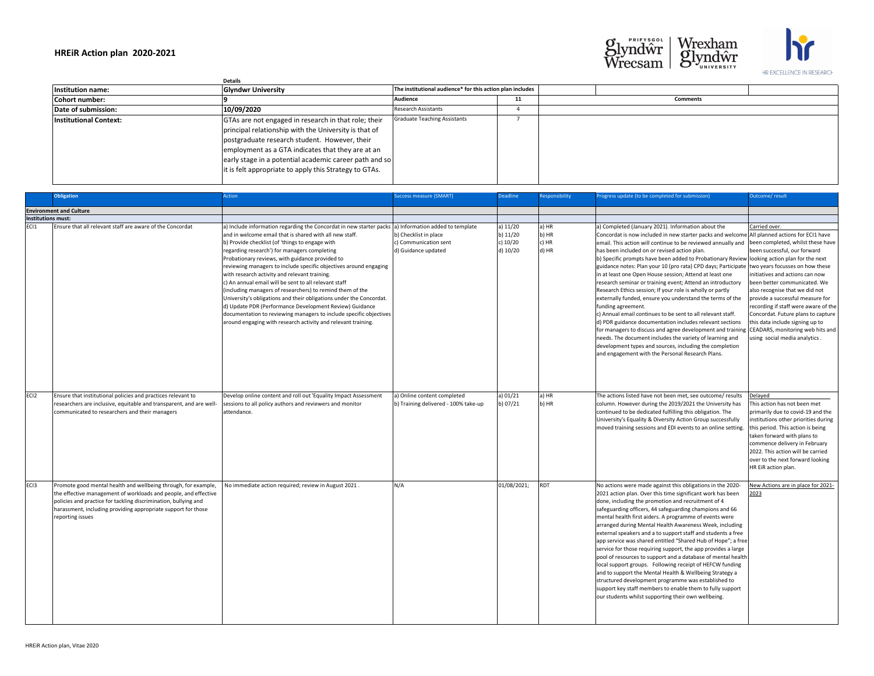|                               | <b>Details</b>                                                                                                                                                                                                                                                                                                                          |                                                           |    |  |  |
|-------------------------------|-----------------------------------------------------------------------------------------------------------------------------------------------------------------------------------------------------------------------------------------------------------------------------------------------------------------------------------------|-----------------------------------------------------------|----|--|--|
| Institution name:             | <b>Glyndwr University</b>                                                                                                                                                                                                                                                                                                               | The institutional audience* for this action plan includes |    |  |  |
| Cohort number:                |                                                                                                                                                                                                                                                                                                                                         | <b>Audience</b>                                           | 11 |  |  |
| Date of submission:           | 10/09/2020                                                                                                                                                                                                                                                                                                                              | <b>Research Assistants</b>                                |    |  |  |
| <b>Institutional Context:</b> | GTAs are not engaged in research in that role; their<br>principal relationship with the University is that of<br>postgraduate research student. However, their<br>employment as a GTA indicates that they are at an<br>early stage in a potential academic career path and so<br>it is felt appropriate to apply this Strategy to GTAs. | <b>Graduate Teaching Assistants</b>                       |    |  |  |

|                    | <b>Obligation</b>                                                                                                                                                                                                                                                                         | Action                                                                                                                                                                                                                                                                                                                                                                                                                                                                                                                                                                                                                                                                                                                                                                                                                                     | <b>Success measure (SMART)</b>                                        | <b>Deadline</b>                                    | Responsibility                   | Progress update (to be completed for submission)                                                                                                                                                                                                                                                                                                                                                                                                                                                                                                                                                                                                                                                                                                                                                                                                                                                                                                                                                                                                                                                                                                 | Outcome/result                                                                                                                                                                                                                                                                                                                                                                |
|--------------------|-------------------------------------------------------------------------------------------------------------------------------------------------------------------------------------------------------------------------------------------------------------------------------------------|--------------------------------------------------------------------------------------------------------------------------------------------------------------------------------------------------------------------------------------------------------------------------------------------------------------------------------------------------------------------------------------------------------------------------------------------------------------------------------------------------------------------------------------------------------------------------------------------------------------------------------------------------------------------------------------------------------------------------------------------------------------------------------------------------------------------------------------------|-----------------------------------------------------------------------|----------------------------------------------------|----------------------------------|--------------------------------------------------------------------------------------------------------------------------------------------------------------------------------------------------------------------------------------------------------------------------------------------------------------------------------------------------------------------------------------------------------------------------------------------------------------------------------------------------------------------------------------------------------------------------------------------------------------------------------------------------------------------------------------------------------------------------------------------------------------------------------------------------------------------------------------------------------------------------------------------------------------------------------------------------------------------------------------------------------------------------------------------------------------------------------------------------------------------------------------------------|-------------------------------------------------------------------------------------------------------------------------------------------------------------------------------------------------------------------------------------------------------------------------------------------------------------------------------------------------------------------------------|
|                    | <b>Environment and Culture</b>                                                                                                                                                                                                                                                            |                                                                                                                                                                                                                                                                                                                                                                                                                                                                                                                                                                                                                                                                                                                                                                                                                                            |                                                                       |                                                    |                                  |                                                                                                                                                                                                                                                                                                                                                                                                                                                                                                                                                                                                                                                                                                                                                                                                                                                                                                                                                                                                                                                                                                                                                  |                                                                                                                                                                                                                                                                                                                                                                               |
| Institutions must: |                                                                                                                                                                                                                                                                                           |                                                                                                                                                                                                                                                                                                                                                                                                                                                                                                                                                                                                                                                                                                                                                                                                                                            |                                                                       |                                                    |                                  |                                                                                                                                                                                                                                                                                                                                                                                                                                                                                                                                                                                                                                                                                                                                                                                                                                                                                                                                                                                                                                                                                                                                                  |                                                                                                                                                                                                                                                                                                                                                                               |
| ECI1               | Ensure that all relevant staff are aware of the Concordat                                                                                                                                                                                                                                 | a) Include information regarding the Concordat in new starter packs a) Information added to template<br>and in welcome email that is shared with all new staff.<br>b) Provide checklist (of 'things to engage with<br>regarding research') for managers completing<br>Probationary reviews, with guidance provided to<br>reviewing managers to include specific objectives around engaging<br>with research activity and relevant training.<br>c) An annual email will be sent to all relevant staff<br>(including managers of researchers) to remind them of the<br>University's obligations and their obligations under the Concordat.<br>d) Update PDR (Performance Development Review) Guidance<br>documentation to reviewing managers to include specific objectives<br>around engaging with research activity and relevant training. | b) Checklist in place<br>c) Communication sent<br>d) Guidance updated | a) $11/20$<br>b) $11/20$<br>c) $10/20$<br>d) 10/20 | a) HR<br>b) HR<br>c) HR<br>d) HR | a) Completed (January 2021). Information about the<br>Concordat is now included in new starter packs and welcome All planned actions for ECI1 have<br>email. This action will continue to be reviewed annually and<br>has been included on or revised action plan.<br>b) Specific prompts have been added to Probationary Review looking action plan for the next<br>guidance notes: Plan your 10 (pro rata) CPD days; Participate two years focusses on how these<br>in at least one Open House session; Attend at least one<br>research seminar or training event; Attend an introductory<br>Research Ethics session; If your role is wholly or partly<br>externally funded, ensure you understand the terms of the<br>funding agreement.<br>c) Annual email continues to be sent to all relevant staff.<br>d) PDR guidance documentation includes relevant sections<br>for managers to discuss and agree development and training CEADARS, monitoring web hits and<br>needs. The document includes the variety of learning and<br>development types and sources, including the completion<br>and engagement with the Personal Research Plans. | Carried over.<br>been completed, whilst these have<br>been successful, our forward<br>initiatives and actions can now<br>been better communicated. We<br>also recognise that we did not<br>provide a successful measure for<br>recording if staff were aware of the<br>Concordat. Future plans to capture<br>this data include signing up to<br>using social media analytics. |
| ECI <sub>2</sub>   | Ensure that institutional policies and practices relevant to<br>researchers are inclusive, equitable and transparent, and are well-<br>communicated to researchers and their managers                                                                                                     | Develop online content and roll out 'Equality Impact Assessment<br>sessions to all policy authors and reviewers and monitor<br>attendance.                                                                                                                                                                                                                                                                                                                                                                                                                                                                                                                                                                                                                                                                                                 | a) Online content completed<br>b) Training delivered - 100% take-up   | a) $01/21$<br>b) 07/21                             | a) HR<br>b) HR                   | The actions listed have not been met, see outcome/ results<br>column. However during the 2019/2021 the University has<br>continued to be dedicated fulfilling this obligation. The<br>University's Equality & Diversity Action Group successfully<br>moved training sessions and EDI events to an online setting                                                                                                                                                                                                                                                                                                                                                                                                                                                                                                                                                                                                                                                                                                                                                                                                                                 | Delayed<br>This action has not been met<br>primarily due to covid-19 and the<br>institutions other priorities during<br>this period. This action is being<br>taken forward with plans to<br>commence delivery in February<br>2022. This action will be carried<br>over to the next forward looking<br>HR EiR action plan.                                                     |
| EC <sub>13</sub>   | Promote good mental health and wellbeing through, for example,<br>the effective management of workloads and people, and effective<br>policies and practice for tackling discrimination, bullying and<br>harassment, including providing appropriate support for those<br>reporting issues | No immediate action required; review in August 2021.                                                                                                                                                                                                                                                                                                                                                                                                                                                                                                                                                                                                                                                                                                                                                                                       | N/A                                                                   | 01/08/2021;                                        | <b>RDT</b>                       | No actions were made against this obligations in the 2020-<br>2021 action plan. Over this time significant work has been<br>done, including the promotion and recruitment of 4<br>safeguarding officers, 44 safeguarding champions and 66<br>mental health first aiders. A programme of events were<br>arranged during Mental Health Awareness Week, including<br>external speakers and a to support staff and students a free<br>app service was shared entitled "Shared Hub of Hope"; a free<br>service for those requiring support, the app provides a large<br>pool of resources to support and a database of mental health<br>local support groups. Following receipt of HEFCW funding<br>and to support the Mental Health & Wellbeing Strategy a<br>structured development programme was established to<br>support key staff members to enable them to fully support<br>our students whilst supporting their own wellbeing.                                                                                                                                                                                                                | New Actions are in place for 2021-<br>2023                                                                                                                                                                                                                                                                                                                                    |

| <b>Comments</b> |  |
|-----------------|--|
|                 |  |
|                 |  |
|                 |  |
|                 |  |
|                 |  |
|                 |  |
|                 |  |
|                 |  |





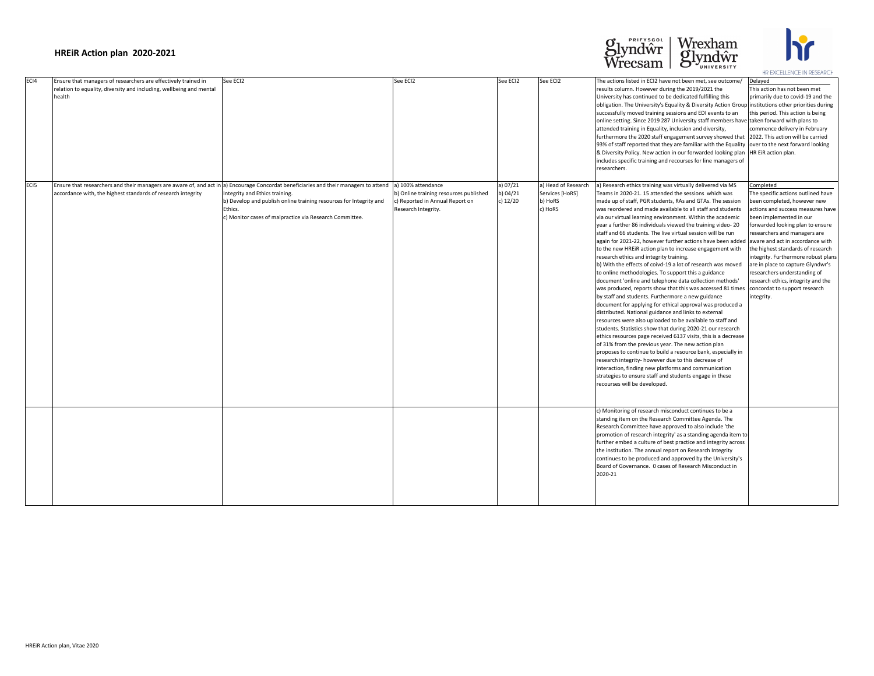|                  |                                                                                                                                                 |                                                                                                                                                                                                                                                                                                                     |                                                                                                                        |                                    |                                                              |                                                                                                                                                                                                                                                                                                                                                                                                                                                                                                                                                                                                                                                                                                                                                                                                                                                                                                                                                                                                                                                                                                                                                                                                                                                                                                                                                                                                                                                                                                                                                                                                     | HR LAULLLLINUL IIN REJEARUI                                                                                                                                                                                                                                                                                                                                                                                                                              |
|------------------|-------------------------------------------------------------------------------------------------------------------------------------------------|---------------------------------------------------------------------------------------------------------------------------------------------------------------------------------------------------------------------------------------------------------------------------------------------------------------------|------------------------------------------------------------------------------------------------------------------------|------------------------------------|--------------------------------------------------------------|-----------------------------------------------------------------------------------------------------------------------------------------------------------------------------------------------------------------------------------------------------------------------------------------------------------------------------------------------------------------------------------------------------------------------------------------------------------------------------------------------------------------------------------------------------------------------------------------------------------------------------------------------------------------------------------------------------------------------------------------------------------------------------------------------------------------------------------------------------------------------------------------------------------------------------------------------------------------------------------------------------------------------------------------------------------------------------------------------------------------------------------------------------------------------------------------------------------------------------------------------------------------------------------------------------------------------------------------------------------------------------------------------------------------------------------------------------------------------------------------------------------------------------------------------------------------------------------------------------|----------------------------------------------------------------------------------------------------------------------------------------------------------------------------------------------------------------------------------------------------------------------------------------------------------------------------------------------------------------------------------------------------------------------------------------------------------|
| ECI4             | Ensure that managers of researchers are effectively trained in<br>relation to equality, diversity and including, wellbeing and mental<br>health | See ECI2                                                                                                                                                                                                                                                                                                            | See ECI2                                                                                                               | See ECI2                           | See ECI2                                                     | The actions listed in ECI2 have not been met, see outcome/<br>results column. However during the 2019/2021 the<br>University has continued to be dedicated fulfilling this<br>obligation. The University's Equality & Diversity Action Group institutions other priorities during<br>successfully moved training sessions and EDI events to an<br>online setting. Since 2019 287 University staff members have taken forward with plans to<br>attended training in Equality, inclusion and diversity,<br>furthermore the 2020 staff engagement survey showed that 2022. This action will be carried<br>93% of staff reported that they are familiar with the Equality lover to the next forward looking<br> & Diversity Policy. New action in our forwarded looking plan  HR EiR action plan.<br>includes specific training and recourses for line managers of<br>researchers.                                                                                                                                                                                                                                                                                                                                                                                                                                                                                                                                                                                                                                                                                                                      | Delayed<br>This action has not been met<br>primarily due to covid-19 and the<br>this period. This action is being<br>commence delivery in February                                                                                                                                                                                                                                                                                                       |
| EC <sub>I5</sub> | accordance with, the highest standards of research integrity                                                                                    | Ensure that researchers and their managers are aware of, and act in a) Encourage Concordat beneficiaries and their managers to attend<br>Integrity and Ethics training.<br>b) Develop and publish online training resources for Integrity and<br>Ethics.<br>c) Monitor cases of malpractice via Research Committee. | a) 100% attendance<br>b) Online training resources published<br>c) Reported in Annual Report on<br>Research Integrity. | a) 07/21<br>b) 04/21<br>c) $12/20$ | a) Head of Research<br>Services [HoRS]<br>b) HoRS<br>c) HoRS | a) Research ethics training was virtually delivered via MS<br>Teams in 2020-21. 15 attended the sessions which was<br>made up of staff, PGR students, RAs and GTAs. The session<br>was reordered and made available to all staff and students<br>via our virtual learning environment. Within the academic<br>year a further 86 individuals viewed the training video-20<br>staff and 66 students. The live virtual session will be run<br>again for 2021-22, however further actions have been added aware and act in accordance with<br>to the new HREIR action plan to increase engagement with<br>research ethics and integrity training.<br>b) With the effects of coivd-19 a lot of research was moved<br>to online methodologies. To support this a guidance<br>document 'online and telephone data collection methods'<br>was produced, reports show that this was accessed 81 times<br>by staff and students. Furthermore a new guidance<br>document for applying for ethical approval was produced a<br>distributed. National guidance and links to external<br>resources were also uploaded to be available to staff and<br>students. Statistics show that during 2020-21 our research<br>ethics resources page received 6137 visits, this is a decrease<br>of 31% from the previous year. The new action plan<br>proposes to continue to build a resource bank, especially in<br>research integrity- however due to this decrease of<br>interaction, finding new platforms and communication<br>strategies to ensure staff and students engage in these<br>recourses will be developed. | Completed<br>The specific actions outlined have<br>been completed, however new<br>actions and success measures have<br>been implemented in our<br>forwarded looking plan to ensure<br>researchers and managers are<br>the highest standards of research<br>integrity. Furthermore robust plans<br>are in place to capture Glyndwr's<br>researchers understanding of<br>research ethics, integrity and the<br>concordat to support research<br>integrity. |
|                  |                                                                                                                                                 |                                                                                                                                                                                                                                                                                                                     |                                                                                                                        |                                    |                                                              | c) Monitoring of research misconduct continues to be a<br>standing item on the Research Committee Agenda. The<br>Research Committee have approved to also include 'the<br>promotion of research integrity' as a standing agenda item to<br>further embed a culture of best practice and integrity across<br>the institution. The annual report on Research Integrity<br>continues to be produced and approved by the University's<br>Board of Governance. 0 cases of Research Misconduct in<br>2020-21                                                                                                                                                                                                                                                                                                                                                                                                                                                                                                                                                                                                                                                                                                                                                                                                                                                                                                                                                                                                                                                                                              |                                                                                                                                                                                                                                                                                                                                                                                                                                                          |





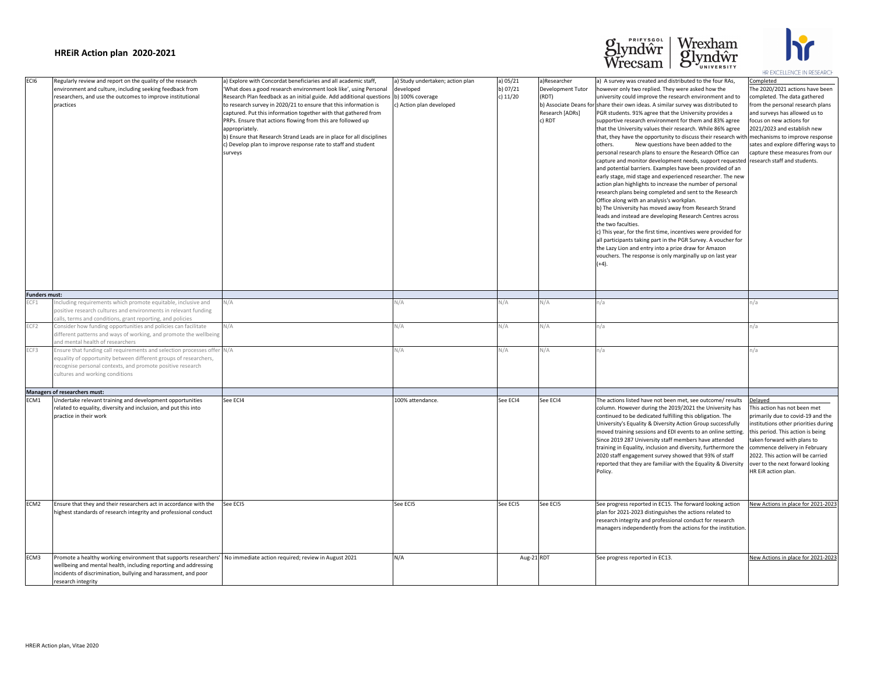| EC <sub>16</sub>     | Regularly review and report on the quality of the research<br>environment and culture, including seeking feedback from<br>researchers, and use the outcomes to improve institutional<br>practices                                                                                 | a) Explore with Concordat beneficiaries and all academic staff,<br>'What does a good research environment look like', using Personal<br>Research Plan feedback as an initial guide. Add additional questions (b) 100% coverage<br>to research survey in 2020/21 to ensure that this information is<br>captured. Put this information together with that gathered from<br>PRPs. Ensure that actions flowing from this are followed up<br>appropriately.<br>b) Ensure that Research Strand Leads are in place for all disciplines<br>c) Develop plan to improve response rate to staff and student<br>surveys | a) Study undertaken; action plan<br>developed<br>c) Action plan developed | a) 05/21<br>b) 07/21<br>c) $11/20$ | a)Researcher<br><b>Development Tutor</b><br>(RDT)<br>Research [ADRs]<br>c) RDT | a) A survey was created and distributed to the four RAs,<br>however only two replied. They were asked how the<br>university could improve the research environment and to<br>b) Associate Deans for share their own ideas. A similar survey was distributed to<br>PGR students. 91% agree that the University provides a<br>supportive research environment for them and 83% agree<br>that the University values their research. While 86% agree<br>that, they have the opportunity to discuss their research with med<br>New questions have been added to the<br>others.<br>personal research plans to ensure the Research Office can<br>capture and monitor development needs, support requested   rese<br>and potential barriers. Examples have been provided of an<br>early stage, mid stage and experienced researcher. The new<br>action plan highlights to increase the number of personal<br>research plans being completed and sent to the Research<br>Office along with an analysis's workplan.<br>b) The University has moved away from Research Strand<br>leads and instead are developing Research Centres across<br>the two faculties.<br>c) This year, for the first time, incentives were provided for<br>all participants taking part in the PGR Survey. A voucher for<br>the Lazy Lion and entry into a prize draw for Amazon<br>vouchers. The response is only marginally up on last year<br>$(+4).$ | Con<br>The<br>com<br>fror<br>and<br>focu<br>202<br>sate<br>capt    |
|----------------------|-----------------------------------------------------------------------------------------------------------------------------------------------------------------------------------------------------------------------------------------------------------------------------------|-------------------------------------------------------------------------------------------------------------------------------------------------------------------------------------------------------------------------------------------------------------------------------------------------------------------------------------------------------------------------------------------------------------------------------------------------------------------------------------------------------------------------------------------------------------------------------------------------------------|---------------------------------------------------------------------------|------------------------------------|--------------------------------------------------------------------------------|-------------------------------------------------------------------------------------------------------------------------------------------------------------------------------------------------------------------------------------------------------------------------------------------------------------------------------------------------------------------------------------------------------------------------------------------------------------------------------------------------------------------------------------------------------------------------------------------------------------------------------------------------------------------------------------------------------------------------------------------------------------------------------------------------------------------------------------------------------------------------------------------------------------------------------------------------------------------------------------------------------------------------------------------------------------------------------------------------------------------------------------------------------------------------------------------------------------------------------------------------------------------------------------------------------------------------------------------------------------------------------------------------------------------------|--------------------------------------------------------------------|
| <b>Funders must:</b> |                                                                                                                                                                                                                                                                                   |                                                                                                                                                                                                                                                                                                                                                                                                                                                                                                                                                                                                             |                                                                           |                                    |                                                                                |                                                                                                                                                                                                                                                                                                                                                                                                                                                                                                                                                                                                                                                                                                                                                                                                                                                                                                                                                                                                                                                                                                                                                                                                                                                                                                                                                                                                                         |                                                                    |
| ECF1                 | Including requirements which promote equitable, inclusive and<br>positive research cultures and environments in relevant funding<br>calls, terms and conditions, grant reporting, and policies                                                                                    | N/A                                                                                                                                                                                                                                                                                                                                                                                                                                                                                                                                                                                                         | Ч/А                                                                       | N/A                                | N/A                                                                            | n/a                                                                                                                                                                                                                                                                                                                                                                                                                                                                                                                                                                                                                                                                                                                                                                                                                                                                                                                                                                                                                                                                                                                                                                                                                                                                                                                                                                                                                     |                                                                    |
| ECF2                 | Consider how funding opportunities and policies can facilitate<br>different patterns and ways of working, and promote the wellbeing<br>and mental health of researchers                                                                                                           | N/A                                                                                                                                                                                                                                                                                                                                                                                                                                                                                                                                                                                                         | V/A                                                                       | N/A                                | \J/A                                                                           | n/a                                                                                                                                                                                                                                                                                                                                                                                                                                                                                                                                                                                                                                                                                                                                                                                                                                                                                                                                                                                                                                                                                                                                                                                                                                                                                                                                                                                                                     | n/a                                                                |
| ECF3                 | Ensure that funding call requirements and selection processes offer N/A<br>equality of opportunity between different groups of researchers,<br>recognise personal contexts, and promote positive research<br>cultures and working conditions                                      |                                                                                                                                                                                                                                                                                                                                                                                                                                                                                                                                                                                                             | N/A                                                                       | N/A                                | N/A                                                                            | n/a                                                                                                                                                                                                                                                                                                                                                                                                                                                                                                                                                                                                                                                                                                                                                                                                                                                                                                                                                                                                                                                                                                                                                                                                                                                                                                                                                                                                                     |                                                                    |
|                      | Managers of researchers must:                                                                                                                                                                                                                                                     |                                                                                                                                                                                                                                                                                                                                                                                                                                                                                                                                                                                                             |                                                                           |                                    |                                                                                |                                                                                                                                                                                                                                                                                                                                                                                                                                                                                                                                                                                                                                                                                                                                                                                                                                                                                                                                                                                                                                                                                                                                                                                                                                                                                                                                                                                                                         |                                                                    |
| ECM1                 | Undertake relevant training and development opportunities<br>related to equality, diversity and inclusion, and put this into<br>practice in their work                                                                                                                            | See ECI4                                                                                                                                                                                                                                                                                                                                                                                                                                                                                                                                                                                                    | 100% attendance.                                                          | See ECI4                           | See ECI4                                                                       | The actions listed have not been met, see outcome/ results<br>column. However during the 2019/2021 the University has<br>continued to be dedicated fulfilling this obligation. The<br>University's Equality & Diversity Action Group successfully<br>moved training sessions and EDI events to an online setting.<br>Since 2019 287 University staff members have attended<br>training in Equality, inclusion and diversity, furthermore the<br>2020 staff engagement survey showed that 93% of staff<br>reported that they are familiar with the Equality & Diversity<br>Policy.                                                                                                                                                                                                                                                                                                                                                                                                                                                                                                                                                                                                                                                                                                                                                                                                                                       | Dela<br>This<br>prin<br>inst<br>take<br>com<br>202<br>love<br>HR I |
| ECM <sub>2</sub>     | Ensure that they and their researchers act in accordance with the<br>highest standards of research integrity and professional conduct                                                                                                                                             | See ECI5                                                                                                                                                                                                                                                                                                                                                                                                                                                                                                                                                                                                    | See ECI5                                                                  | See ECI5                           | See ECI5                                                                       | See progress reported in EC15. The forward looking action<br>plan for 2021-2023 distinguishes the actions related to<br>research integrity and professional conduct for research<br>managers independently from the actions for the institution.                                                                                                                                                                                                                                                                                                                                                                                                                                                                                                                                                                                                                                                                                                                                                                                                                                                                                                                                                                                                                                                                                                                                                                        | <b>Nev</b>                                                         |
| ECM3                 | Promote a healthy working environment that supports researchers'   No immediate action required; review in August 2021<br>wellbeing and mental health, including reporting and addressing<br>incidents of discrimination, bullying and harassment, and poor<br>research integrity |                                                                                                                                                                                                                                                                                                                                                                                                                                                                                                                                                                                                             | N/A                                                                       | Aug-21 RDT                         |                                                                                | See progress reported in EC13.                                                                                                                                                                                                                                                                                                                                                                                                                                                                                                                                                                                                                                                                                                                                                                                                                                                                                                                                                                                                                                                                                                                                                                                                                                                                                                                                                                                          | <b>Nev</b>                                                         |
|                      |                                                                                                                                                                                                                                                                                   |                                                                                                                                                                                                                                                                                                                                                                                                                                                                                                                                                                                                             |                                                                           |                                    |                                                                                |                                                                                                                                                                                                                                                                                                                                                                                                                                                                                                                                                                                                                                                                                                                                                                                                                                                                                                                                                                                                                                                                                                                                                                                                                                                                                                                                                                                                                         |                                                                    |

| a) Explore with Concordat beneficiaries and all academic staff,<br>'What does a good research environment look like', using Personal<br>Research Plan feedback as an initial guide. Add additional questions<br>to research survey in 2020/21 to ensure that this information is<br>captured. Put this information together with that gathered from<br>PRPs. Ensure that actions flowing from this are followed up<br>appropriately.<br>b) Ensure that Research Strand Leads are in place for all disciplines<br>c) Develop plan to improve response rate to staff and student<br>surveys | a) Study undertaken; action plan<br>developed<br>b) 100% coverage<br>c) Action plan developed | a) 05/21<br>b) 07/21<br>c) $11/20$ | a)Researcher<br><b>Development Tutor</b><br>(RDT)<br>Research [ADRs]<br>c) RDT | a) A survey was created and distributed to the four RAs,<br>however only two replied. They were asked how the<br>university could improve the research environment and to<br>b) Associate Deans for share their own ideas. A similar survey was distributed to<br>PGR students. 91% agree that the University provides a<br>supportive research environment for them and 83% agree<br>that the University values their research. While 86% agree<br>that, they have the opportunity to discuss their research with mechanisms to improve response<br>New questions have been added to the<br>others.<br>personal research plans to ensure the Research Office can<br>capture and monitor development needs, support requested research staff and students.<br>and potential barriers. Examples have been provided of an<br>early stage, mid stage and experienced researcher. The new<br>action plan highlights to increase the number of personal<br>research plans being completed and sent to the Research<br>Office along with an analysis's workplan.<br>b) The University has moved away from Research Strand<br>leads and instead are developing Research Centres across<br>the two faculties.<br>c) This year, for the first time, incentives were provided for<br>all participants taking part in the PGR Survey. A voucher for<br>the Lazy Lion and entry into a prize draw for Amazon<br>vouchers. The response is only marginally up on last year<br>$(+4).$ | Completed<br>The 2020/2021 actions have been<br>completed. The data gathered<br>from the personal research plans<br>and surveys has allowed us to<br>focus on new actions for<br>2021/2023 and establish new<br>sates and explore differing ways to<br>capture these measures from our                                    |
|-------------------------------------------------------------------------------------------------------------------------------------------------------------------------------------------------------------------------------------------------------------------------------------------------------------------------------------------------------------------------------------------------------------------------------------------------------------------------------------------------------------------------------------------------------------------------------------------|-----------------------------------------------------------------------------------------------|------------------------------------|--------------------------------------------------------------------------------|--------------------------------------------------------------------------------------------------------------------------------------------------------------------------------------------------------------------------------------------------------------------------------------------------------------------------------------------------------------------------------------------------------------------------------------------------------------------------------------------------------------------------------------------------------------------------------------------------------------------------------------------------------------------------------------------------------------------------------------------------------------------------------------------------------------------------------------------------------------------------------------------------------------------------------------------------------------------------------------------------------------------------------------------------------------------------------------------------------------------------------------------------------------------------------------------------------------------------------------------------------------------------------------------------------------------------------------------------------------------------------------------------------------------------------------------------------------------------|---------------------------------------------------------------------------------------------------------------------------------------------------------------------------------------------------------------------------------------------------------------------------------------------------------------------------|
|                                                                                                                                                                                                                                                                                                                                                                                                                                                                                                                                                                                           |                                                                                               |                                    |                                                                                |                                                                                                                                                                                                                                                                                                                                                                                                                                                                                                                                                                                                                                                                                                                                                                                                                                                                                                                                                                                                                                                                                                                                                                                                                                                                                                                                                                                                                                                                          |                                                                                                                                                                                                                                                                                                                           |
| N/A                                                                                                                                                                                                                                                                                                                                                                                                                                                                                                                                                                                       | N/A                                                                                           | N/A                                | N/A                                                                            | n/a                                                                                                                                                                                                                                                                                                                                                                                                                                                                                                                                                                                                                                                                                                                                                                                                                                                                                                                                                                                                                                                                                                                                                                                                                                                                                                                                                                                                                                                                      | n/a                                                                                                                                                                                                                                                                                                                       |
| N/A                                                                                                                                                                                                                                                                                                                                                                                                                                                                                                                                                                                       | N/A                                                                                           | N/A                                | N/A                                                                            | n/a                                                                                                                                                                                                                                                                                                                                                                                                                                                                                                                                                                                                                                                                                                                                                                                                                                                                                                                                                                                                                                                                                                                                                                                                                                                                                                                                                                                                                                                                      | n/a                                                                                                                                                                                                                                                                                                                       |
| N/A                                                                                                                                                                                                                                                                                                                                                                                                                                                                                                                                                                                       | N/A                                                                                           | N/A                                | N/A                                                                            | n/a                                                                                                                                                                                                                                                                                                                                                                                                                                                                                                                                                                                                                                                                                                                                                                                                                                                                                                                                                                                                                                                                                                                                                                                                                                                                                                                                                                                                                                                                      | n/a                                                                                                                                                                                                                                                                                                                       |
|                                                                                                                                                                                                                                                                                                                                                                                                                                                                                                                                                                                           |                                                                                               |                                    |                                                                                |                                                                                                                                                                                                                                                                                                                                                                                                                                                                                                                                                                                                                                                                                                                                                                                                                                                                                                                                                                                                                                                                                                                                                                                                                                                                                                                                                                                                                                                                          |                                                                                                                                                                                                                                                                                                                           |
| See ECI4                                                                                                                                                                                                                                                                                                                                                                                                                                                                                                                                                                                  | 100% attendance.                                                                              | See ECI4                           | See ECI4                                                                       | The actions listed have not been met, see outcome/ results<br>column. However during the 2019/2021 the University has<br>continued to be dedicated fulfilling this obligation. The<br>University's Equality & Diversity Action Group successfully<br>moved training sessions and EDI events to an online setting.<br>Since 2019 287 University staff members have attended<br>training in Equality, inclusion and diversity, furthermore the<br>2020 staff engagement survey showed that 93% of staff<br>reported that they are familiar with the Equality & Diversity<br>Policy.                                                                                                                                                                                                                                                                                                                                                                                                                                                                                                                                                                                                                                                                                                                                                                                                                                                                                        | Delayed<br>This action has not been met<br>primarily due to covid-19 and the<br>institutions other priorities during<br>this period. This action is being<br>taken forward with plans to<br>commence delivery in February<br>2022. This action will be carried<br>over to the next forward looking<br>HR EiR action plan. |
| See ECI5                                                                                                                                                                                                                                                                                                                                                                                                                                                                                                                                                                                  | See ECI5                                                                                      | See ECI5                           | See ECI5                                                                       | See progress reported in EC15. The forward looking action<br>plan for 2021-2023 distinguishes the actions related to<br>research integrity and professional conduct for research<br>managers independently from the actions for the institution.                                                                                                                                                                                                                                                                                                                                                                                                                                                                                                                                                                                                                                                                                                                                                                                                                                                                                                                                                                                                                                                                                                                                                                                                                         | New Actions in place for 2021-2023                                                                                                                                                                                                                                                                                        |
| No immediate action required; review in August 2021                                                                                                                                                                                                                                                                                                                                                                                                                                                                                                                                       | N/A                                                                                           | Aug-21RDT                          |                                                                                | See progress reported in EC13.                                                                                                                                                                                                                                                                                                                                                                                                                                                                                                                                                                                                                                                                                                                                                                                                                                                                                                                                                                                                                                                                                                                                                                                                                                                                                                                                                                                                                                           | New Actions in place for 2021-2023                                                                                                                                                                                                                                                                                        |





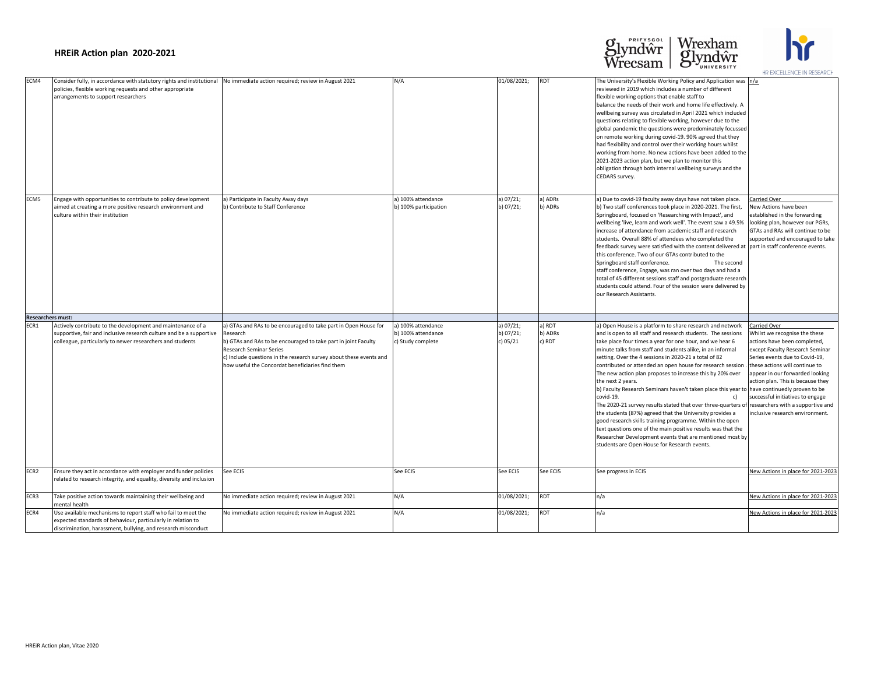| ECM4                     | Consider fully, in accordance with statutory rights and institutional<br>policies, flexible working requests and other appropriate<br>arrangements to support researchers                       | No immediate action required; review in August 2021                                                                                                                                                                                                                                                       | N/A                                                           | 01/08/2021;                             | <b>RDT</b>                  | The University's Flexible Working Policy and Application was $n/a$<br>reviewed in 2019 which includes a number of different<br>flexible working options that enable staff to<br>balance the needs of their work and home life effectively. A<br>wellbeing survey was circulated in April 2021 which included<br>questions relating to flexible working, however due to the<br>global pandemic the questions were predominately focussed<br>on remote working during covid-19. 90% agreed that they<br>had flexibility and control over their working hours whilst<br>working from home. No new actions have been added to the<br>2021-2023 action plan, but we plan to monitor this<br>obligation through both internal wellbeing surveys and the<br>CEDARS survey.                                                                                                                                                                                  |                                                                                                                                                                                                                                                                                                                                                                                 |
|--------------------------|-------------------------------------------------------------------------------------------------------------------------------------------------------------------------------------------------|-----------------------------------------------------------------------------------------------------------------------------------------------------------------------------------------------------------------------------------------------------------------------------------------------------------|---------------------------------------------------------------|-----------------------------------------|-----------------------------|------------------------------------------------------------------------------------------------------------------------------------------------------------------------------------------------------------------------------------------------------------------------------------------------------------------------------------------------------------------------------------------------------------------------------------------------------------------------------------------------------------------------------------------------------------------------------------------------------------------------------------------------------------------------------------------------------------------------------------------------------------------------------------------------------------------------------------------------------------------------------------------------------------------------------------------------------|---------------------------------------------------------------------------------------------------------------------------------------------------------------------------------------------------------------------------------------------------------------------------------------------------------------------------------------------------------------------------------|
| ECM5                     | Engage with opportunities to contribute to policy development<br>aimed at creating a more positive research environment and<br>culture within their institution                                 | a) Participate in Faculty Away days<br>b) Contribute to Staff Conference                                                                                                                                                                                                                                  | a) 100% attendance<br>b) 100% participation                   | a) 07/21;<br>b) $07/21$ ;               | a) ADRs<br>b) ADRs          | a) Due to covid-19 faculty away days have not taken place.<br>b) Two staff conferences took place in 2020-2021. The first,<br>Springboard, focused on 'Researching with Impact', and<br>wellbeing 'live, learn and work well'. The event saw a 49.5%<br>increase of attendance from academic staff and research<br>students. Overall 88% of attendees who completed the<br>feedback survey were satisfied with the content delivered at part in staff conference events.<br>this conference. Two of our GTAs contributed to the<br>Springboard staff conference.<br>The second<br>staff conference, Engage, was ran over two days and had a<br>total of 45 different sessions staff and postgraduate research<br>students could attend. Four of the session were delivered by<br>our Research Assistants.                                                                                                                                            | Carried Over<br>New Actions have been<br>established in the forwarding<br>looking plan, however our PGRs,<br>GTAs and RAs will continue to be<br>supported and encouraged to take                                                                                                                                                                                               |
| <b>Researchers must:</b> |                                                                                                                                                                                                 |                                                                                                                                                                                                                                                                                                           |                                                               |                                         |                             |                                                                                                                                                                                                                                                                                                                                                                                                                                                                                                                                                                                                                                                                                                                                                                                                                                                                                                                                                      |                                                                                                                                                                                                                                                                                                                                                                                 |
| ECR1                     | Actively contribute to the development and maintenance of a<br>supportive, fair and inclusive research culture and be a supportive<br>colleague, particularly to newer researchers and students | a) GTAs and RAs to be encouraged to take part in Open House for<br>Research<br>b) GTAs and RAs to be encouraged to take part in joint Faculty<br><b>Research Seminar Series</b><br>c) Include questions in the research survey about these events and<br>how useful the Concordat beneficiaries find them | a) 100% attendance<br>b) 100% attendance<br>c) Study complete | a) 07/21;<br>b) $07/21$ ;<br>c) $05/21$ | a) RDT<br>b) ADRs<br>c) RDT | a) Open House is a platform to share research and network<br>and is open to all staff and research students. The sessions<br>take place four times a year for one hour, and we hear 6<br>minute talks from staff and students alike, in an informal<br>setting. Over the 4 sessions in 2020-21 a total of 82<br>contributed or attended an open house for research session.<br>The new action plan proposes to increase this by 20% over<br>the next 2 years.<br>b) Faculty Research Seminars haven't taken place this year to have continuedly proven to be<br>covid-19.<br>C)<br>The 2020-21 survey results stated that over three-quarters of<br>the students (87%) agreed that the University provides a<br>good research skills training programme. Within the open<br>text questions one of the main positive results was that the<br>Researcher Development events that are mentioned most by<br>students are Open House for Research events. | <b>Carried Over</b><br>Whilst we recognise the these<br>actions have been completed,<br>except Faculty Research Seminar<br>Series events due to Covid-19,<br>these actions will continue to<br>appear in our forwarded looking<br>action plan. This is because they<br>successful initiatives to engage<br>researchers with a supportive and<br>inclusive research environment. |
| ECR2                     | Ensure they act in accordance with employer and funder policies<br>related to research integrity, and equality, diversity and inclusion                                                         | See ECI5                                                                                                                                                                                                                                                                                                  | See ECI5                                                      | See ECI5                                | See ECI5                    | See progress in ECI5                                                                                                                                                                                                                                                                                                                                                                                                                                                                                                                                                                                                                                                                                                                                                                                                                                                                                                                                 | New Actions in place for 2021-2023                                                                                                                                                                                                                                                                                                                                              |
| ECR3                     | Take positive action towards maintaining their wellbeing and<br>Imental health                                                                                                                  | No immediate action required; review in August 2021                                                                                                                                                                                                                                                       | N/A                                                           | 01/08/2021;                             | <b>RDT</b>                  | n/a                                                                                                                                                                                                                                                                                                                                                                                                                                                                                                                                                                                                                                                                                                                                                                                                                                                                                                                                                  | New Actions in place for 2021-2023                                                                                                                                                                                                                                                                                                                                              |
| ECR4                     | Use available mechanisms to report staff who fail to meet the<br>expected standards of behaviour, particularly in relation to<br>discrimination, harassment, bullying, and research misconduct  | No immediate action required; review in August 2021                                                                                                                                                                                                                                                       | N/A                                                           | 01/08/2021;                             | <b>RDT</b>                  | n/a                                                                                                                                                                                                                                                                                                                                                                                                                                                                                                                                                                                                                                                                                                                                                                                                                                                                                                                                                  | New Actions in place for 2021-2023                                                                                                                                                                                                                                                                                                                                              |





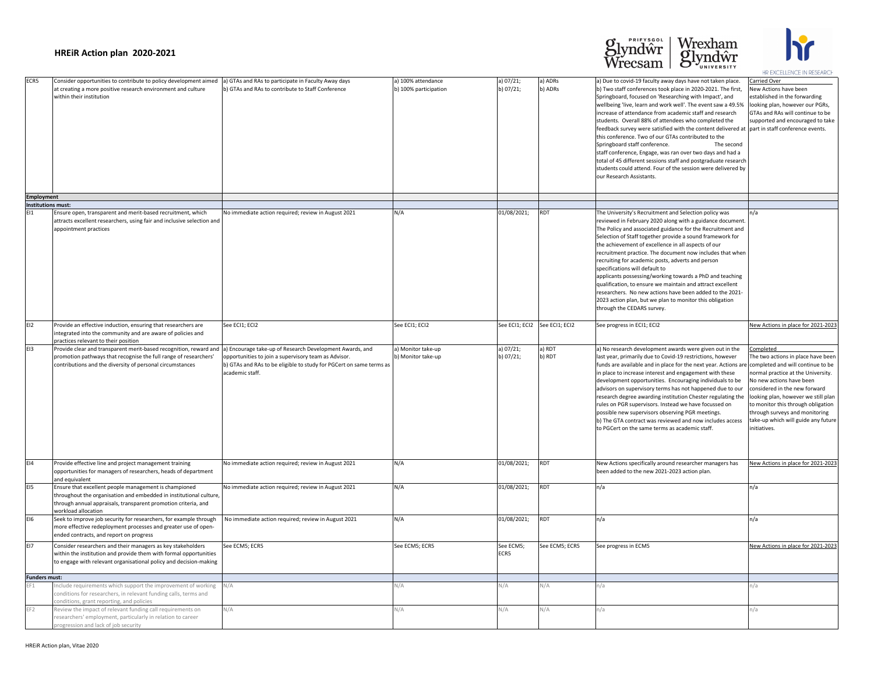| a) GTAs and RAs to participate in Faculty Away days<br>b) GTAs and RAs to contribute to Staff Conference                                                                                                   | a) 100% attendance<br>b) 100% participation | a) 07/21;<br>b) 07/21;        | a) ADRs<br>b) ADRs | a) Due to covid-19 faculty away days have not taken place.<br>b) Two staff conferences took place in 2020-2021. The first,<br>Springboard, focused on 'Researching with Impact', and<br>wellbeing 'live, learn and work well'. The event saw a 49.5%<br>increase of attendance from academic staff and research<br>students. Overall 88% of attendees who completed the<br>feedback survey were satisfied with the content delivered at part in staff conference events.<br>this conference. Two of our GTAs contributed to the<br>Springboard staff conference.<br>The second<br>staff conference, Engage, was ran over two days and had a<br>total of 45 different sessions staff and postgraduate research<br>students could attend. Four of the session were delivered by<br>our Research Assistants. | Carried Over<br>New Actions have been<br>established in the forwarding<br>looking plan, however our PGRs,<br>GTAs and RAs will continue to be<br>supported and encouraged to take                                                                                                                                        |
|------------------------------------------------------------------------------------------------------------------------------------------------------------------------------------------------------------|---------------------------------------------|-------------------------------|--------------------|-----------------------------------------------------------------------------------------------------------------------------------------------------------------------------------------------------------------------------------------------------------------------------------------------------------------------------------------------------------------------------------------------------------------------------------------------------------------------------------------------------------------------------------------------------------------------------------------------------------------------------------------------------------------------------------------------------------------------------------------------------------------------------------------------------------|--------------------------------------------------------------------------------------------------------------------------------------------------------------------------------------------------------------------------------------------------------------------------------------------------------------------------|
|                                                                                                                                                                                                            |                                             |                               |                    |                                                                                                                                                                                                                                                                                                                                                                                                                                                                                                                                                                                                                                                                                                                                                                                                           |                                                                                                                                                                                                                                                                                                                          |
| No immediate action required; review in August 2021                                                                                                                                                        | N/A                                         | 01/08/2021;                   | <b>RDT</b>         | The University's Recruitment and Selection policy was<br>reviewed in February 2020 along with a guidance document.<br>The Policy and associated guidance for the Recruitment and<br>Selection of Staff together provide a sound framework for<br>the achievement of excellence in all aspects of our<br>recruitment practice. The document now includes that when<br>recruiting for academic posts, adverts and person<br>specifications will default to<br>applicants possessing/working towards a PhD and teaching<br>qualification, to ensure we maintain and attract excellent<br>researchers. No new actions have been added to the 2021-<br>2023 action plan, but we plan to monitor this obligation<br>through the CEDARS survey.                                                                  | n/a                                                                                                                                                                                                                                                                                                                      |
| See ECI1; ECI2                                                                                                                                                                                             | See ECI1; ECI2                              | See ECI1; ECI2 See ECI1; ECI2 |                    | See progress in ECI1; ECI2                                                                                                                                                                                                                                                                                                                                                                                                                                                                                                                                                                                                                                                                                                                                                                                | New Actions in place for 2021-2023                                                                                                                                                                                                                                                                                       |
| a) Encourage take-up of Research Development Awards, and<br>opportunities to join a supervisory team as Advisor.<br>b) GTAs and RAs to be eligible to study for PGCert on same terms as<br>academic staff. | a) Monitor take-up<br>b) Monitor take-up    | a) 07/21;<br>b) $07/21$ ;     | a) RDT<br>b) RDT   | a) No research development awards were given out in the<br>last year, primarily due to Covid-19 restrictions, however<br>funds are available and in place for the next year. Actions are completed and will continue to be<br>in place to increase interest and engagement with these<br>development opportunities. Encouraging individuals to be<br>advisors on supervisory terms has not happened due to our<br>research degree awarding institution Chester regulating the<br>rules on PGR supervisors. Instead we have focussed on<br>possible new supervisors observing PGR meetings.<br>b) The GTA contract was reviewed and now includes access<br>to PGCert on the same terms as academic staff.                                                                                                  | Completed<br>The two actions in place have been<br>normal practice at the University.<br>No new actions have been<br>considered in the new forward<br>looking plan, however we still plan<br>to monitor this through obligation<br>through surveys and monitoring<br>take-up which will guide any future<br>initiatives. |
| No immediate action required; review in August 2021                                                                                                                                                        | N/A                                         | 01/08/2021;                   | <b>RDT</b>         | New Actions specifically around researcher managers has<br>been added to the new 2021-2023 action plan.                                                                                                                                                                                                                                                                                                                                                                                                                                                                                                                                                                                                                                                                                                   | New Actions in place for 2021-2023                                                                                                                                                                                                                                                                                       |
| No immediate action required; review in August 2021                                                                                                                                                        | N/A                                         | 01/08/2021;                   | <b>RDT</b>         | n/a                                                                                                                                                                                                                                                                                                                                                                                                                                                                                                                                                                                                                                                                                                                                                                                                       | n/a                                                                                                                                                                                                                                                                                                                      |
| No immediate action required; review in August 2021                                                                                                                                                        | N/A                                         | 01/08/2021;                   | <b>RDT</b>         | n/a                                                                                                                                                                                                                                                                                                                                                                                                                                                                                                                                                                                                                                                                                                                                                                                                       | n/a                                                                                                                                                                                                                                                                                                                      |
| See ECM5; ECR5                                                                                                                                                                                             | See ECM5; ECR5                              | See ECM5;<br>ECR5             | See ECM5; ECR5     | See progress in ECM5                                                                                                                                                                                                                                                                                                                                                                                                                                                                                                                                                                                                                                                                                                                                                                                      | New Actions in place for 2021-2023                                                                                                                                                                                                                                                                                       |
| N/A                                                                                                                                                                                                        | N/A                                         | N/A                           | N/A                | n/a                                                                                                                                                                                                                                                                                                                                                                                                                                                                                                                                                                                                                                                                                                                                                                                                       | n/a                                                                                                                                                                                                                                                                                                                      |
| N/A                                                                                                                                                                                                        | N/A                                         | N/A                           | N/A                | n/a                                                                                                                                                                                                                                                                                                                                                                                                                                                                                                                                                                                                                                                                                                                                                                                                       | n/a                                                                                                                                                                                                                                                                                                                      |

| ECR5                                           | Consider opportunities to contribute to policy development aimed<br>at creating a more positive research environment and culture<br>within their institution                                                                                                | a) GTAs and RAs to participate in Faculty Away days<br>b) GTAs and RAs to contribute to Staff Conference                                       | a) 100% attendance<br>b) 100% participation | a) $07/21$ ;<br>b) 07/21;     | a) ADRs<br>b) ADRs | a) Due to covid-19 faculty away days have not taken place.<br>b) Two staff conferences took place in 2020-2021. The first,<br>Springboard, focused on 'Researching with Impact', and<br>wellbeing 'live, learn and work well'. The event saw a 49.5%  look<br>increase of attendance from academic staff and research<br>students. Overall 88% of attendees who completed the<br>feedback survey were satisfied with the content delivered at part<br>this conference. Two of our GTAs contributed to the<br>Springboard staff conference.<br>The second<br>staff conference, Engage, was ran over two days and had a<br>total of 45 different sessions staff and postgraduate research<br>students could attend. Four of the session were delivered by<br>our Research Assistants. | Carı<br>Nev<br>esta<br><b>GTA</b><br>sup                              |
|------------------------------------------------|-------------------------------------------------------------------------------------------------------------------------------------------------------------------------------------------------------------------------------------------------------------|------------------------------------------------------------------------------------------------------------------------------------------------|---------------------------------------------|-------------------------------|--------------------|-------------------------------------------------------------------------------------------------------------------------------------------------------------------------------------------------------------------------------------------------------------------------------------------------------------------------------------------------------------------------------------------------------------------------------------------------------------------------------------------------------------------------------------------------------------------------------------------------------------------------------------------------------------------------------------------------------------------------------------------------------------------------------------|-----------------------------------------------------------------------|
| <b>Employment</b><br><b>Institutions must:</b> |                                                                                                                                                                                                                                                             |                                                                                                                                                |                                             |                               |                    |                                                                                                                                                                                                                                                                                                                                                                                                                                                                                                                                                                                                                                                                                                                                                                                     |                                                                       |
| E <sub>11</sub>                                | Ensure open, transparent and merit-based recruitment, which<br>attracts excellent researchers, using fair and inclusive selection and<br>appointment practices                                                                                              | No immediate action required; review in August 2021                                                                                            | N/A                                         | 01/08/2021;                   | <b>RDT</b>         | The University's Recruitment and Selection policy was<br>reviewed in February 2020 along with a guidance document.<br>The Policy and associated guidance for the Recruitment and<br>Selection of Staff together provide a sound framework for<br>the achievement of excellence in all aspects of our<br>recruitment practice. The document now includes that when<br>recruiting for academic posts, adverts and person<br>specifications will default to<br>applicants possessing/working towards a PhD and teaching<br>qualification, to ensure we maintain and attract excellent<br>researchers. No new actions have been added to the 2021-<br>2023 action plan, but we plan to monitor this obligation<br>through the CEDARS survey.                                            | n/a                                                                   |
| EI <sub>2</sub>                                | Provide an effective induction, ensuring that researchers are<br>integrated into the community and are aware of policies and<br>practices relevant to their position                                                                                        | See ECI1; ECI2                                                                                                                                 | See ECI1; ECI2                              | See ECI1; ECI2 See ECI1; ECI2 |                    | See progress in ECI1; ECI2                                                                                                                                                                                                                                                                                                                                                                                                                                                                                                                                                                                                                                                                                                                                                          | <u>Nev</u>                                                            |
| EI3                                            | Provide clear and transparent merit-based recognition, reward and a) Encourage take-up of Research Development Awards, and<br>promotion pathways that recognise the full range of researchers'<br>contributions and the diversity of personal circumstances | opportunities to join a supervisory team as Advisor.<br>b) GTAs and RAs to be eligible to study for PGCert on same terms as<br>academic staff. | a) Monitor take-up<br>b) Monitor take-up    | a) $07/21$ ;<br>b) 07/21;     | a) RDT<br>b) RDT   | a) No research development awards were given out in the<br>last year, primarily due to Covid-19 restrictions, however<br>funds are available and in place for the next year. Actions are com<br>in place to increase interest and engagement with these<br>development opportunities. Encouraging individuals to be<br>advisors on supervisory terms has not happened due to our<br>research degree awarding institution Chester regulating the  look<br>rules on PGR supervisors. Instead we have focussed on<br>possible new supervisors observing PGR meetings.<br>b) The GTA contract was reviewed and now includes access<br>to PGCert on the same terms as academic staff.                                                                                                    | Con<br>The<br>nori<br>No i<br>Icon:<br>to n<br> thrc<br>take<br>initi |
| E14                                            | Provide effective line and project management training<br>opportunities for managers of researchers, heads of department<br>and equivalent                                                                                                                  | No immediate action required; review in August 2021                                                                                            | N/A                                         | 01/08/2021;                   | <b>RDT</b>         | New Actions specifically around researcher managers has<br>been added to the new 2021-2023 action plan.                                                                                                                                                                                                                                                                                                                                                                                                                                                                                                                                                                                                                                                                             | <b>Nev</b>                                                            |
| E <sub>15</sub>                                | Ensure that excellent people management is championed<br>throughout the organisation and embedded in institutional culture,<br>through annual appraisals, transparent promotion criteria, and<br>workload allocation                                        | No immediate action required; review in August 2021                                                                                            | N/A                                         | 01/08/2021;                   | <b>RDT</b>         | n/a                                                                                                                                                                                                                                                                                                                                                                                                                                                                                                                                                                                                                                                                                                                                                                                 | n/a                                                                   |
| EI6                                            | Seek to improve job security for researchers, for example through<br>more effective redeployment processes and greater use of open-<br>ended contracts, and report on progress                                                                              | No immediate action required; review in August 2021                                                                                            | N/A                                         | 01/08/2021;                   | <b>RDT</b>         | n/a                                                                                                                                                                                                                                                                                                                                                                                                                                                                                                                                                                                                                                                                                                                                                                                 | n/a                                                                   |
| EI7                                            | Consider researchers and their managers as key stakeholders<br>within the institution and provide them with formal opportunities<br>to engage with relevant organisational policy and decision-making                                                       | See ECM5; ECR5                                                                                                                                 | See ECM5; ECR5                              | See ECM5;<br>ECR5             | See ECM5; ECR5     | See progress in ECM5                                                                                                                                                                                                                                                                                                                                                                                                                                                                                                                                                                                                                                                                                                                                                                | <u>Nev</u>                                                            |
| <b>Funders must:</b>                           |                                                                                                                                                                                                                                                             |                                                                                                                                                |                                             |                               |                    |                                                                                                                                                                                                                                                                                                                                                                                                                                                                                                                                                                                                                                                                                                                                                                                     |                                                                       |
| EF1                                            | Include requirements which support the improvement of working $N/A$<br>conditions for researchers, in relevant funding calls, terms and<br>conditions, grant reporting, and policies                                                                        |                                                                                                                                                | N/A                                         | N/A                           | N/A                | n/a                                                                                                                                                                                                                                                                                                                                                                                                                                                                                                                                                                                                                                                                                                                                                                                 | n/a                                                                   |
| EF2                                            | Review the impact of relevant funding call requirements on<br>researchers' employment, particularly in relation to career<br>progression and lack of job security                                                                                           | N/A                                                                                                                                            | N/A                                         | N/A                           | N/A                | n/a                                                                                                                                                                                                                                                                                                                                                                                                                                                                                                                                                                                                                                                                                                                                                                                 | n/a                                                                   |
|                                                |                                                                                                                                                                                                                                                             |                                                                                                                                                |                                             |                               |                    |                                                                                                                                                                                                                                                                                                                                                                                                                                                                                                                                                                                                                                                                                                                                                                                     |                                                                       |





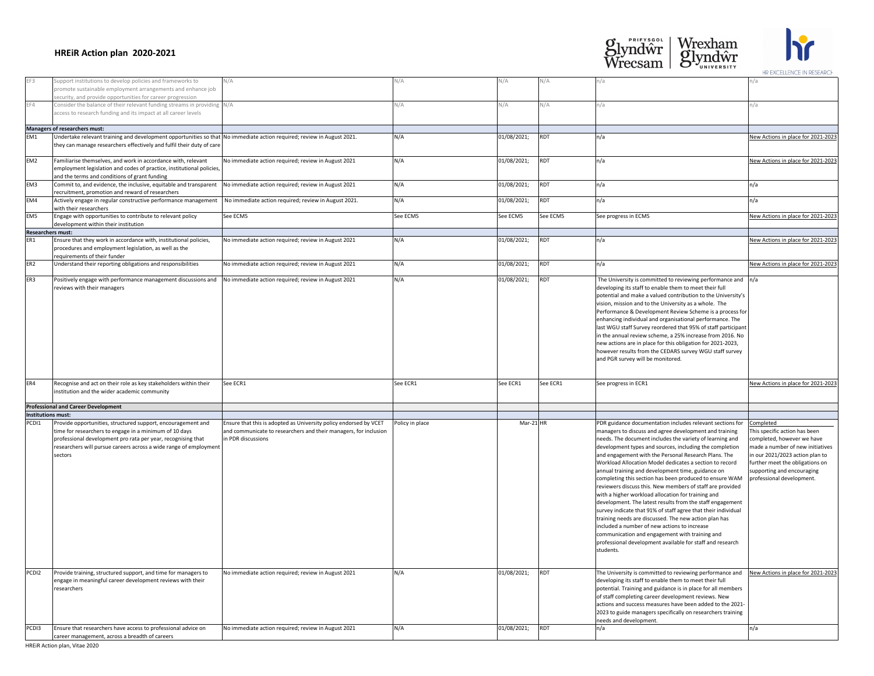| EF3                      | Support institutions to develop policies and frameworks to<br>promote sustainable employment arrangements and enhance job                                                                                                                                              | N/A                                                                                                                                                         | N/A             | V/А         | N/A        |                                                                                                                                                                                                                                                                                                                                                                                                                                                                                                                                                                                                                                                                                                                                                                                                                                                                                                                                                                     |                                                                                                                                                                                                                                               |
|--------------------------|------------------------------------------------------------------------------------------------------------------------------------------------------------------------------------------------------------------------------------------------------------------------|-------------------------------------------------------------------------------------------------------------------------------------------------------------|-----------------|-------------|------------|---------------------------------------------------------------------------------------------------------------------------------------------------------------------------------------------------------------------------------------------------------------------------------------------------------------------------------------------------------------------------------------------------------------------------------------------------------------------------------------------------------------------------------------------------------------------------------------------------------------------------------------------------------------------------------------------------------------------------------------------------------------------------------------------------------------------------------------------------------------------------------------------------------------------------------------------------------------------|-----------------------------------------------------------------------------------------------------------------------------------------------------------------------------------------------------------------------------------------------|
|                          | security, and provide opportunities for career progression                                                                                                                                                                                                             |                                                                                                                                                             |                 |             |            |                                                                                                                                                                                                                                                                                                                                                                                                                                                                                                                                                                                                                                                                                                                                                                                                                                                                                                                                                                     |                                                                                                                                                                                                                                               |
| EF4                      | Consider the balance of their relevant funding streams in providing N/A<br>access to research funding and its impact at all career levels                                                                                                                              |                                                                                                                                                             | N/A             | N/A         | N/A        |                                                                                                                                                                                                                                                                                                                                                                                                                                                                                                                                                                                                                                                                                                                                                                                                                                                                                                                                                                     |                                                                                                                                                                                                                                               |
|                          | Managers of researchers must:                                                                                                                                                                                                                                          |                                                                                                                                                             |                 |             |            |                                                                                                                                                                                                                                                                                                                                                                                                                                                                                                                                                                                                                                                                                                                                                                                                                                                                                                                                                                     |                                                                                                                                                                                                                                               |
| EM1                      | Undertake relevant training and development opportunities so that No immediate action required; review in August 2021.<br>they can manage researchers effectively and fulfil their duty of care                                                                        |                                                                                                                                                             | N/A             | 01/08/2021; | <b>RDT</b> | n/a                                                                                                                                                                                                                                                                                                                                                                                                                                                                                                                                                                                                                                                                                                                                                                                                                                                                                                                                                                 | New Actions in place for 2021-2023                                                                                                                                                                                                            |
| EM <sub>2</sub>          | Familiarise themselves, and work in accordance with, relevant<br>employment legislation and codes of practice, institutional policies,<br>and the terms and conditions of grant funding                                                                                | No immediate action required; review in August 2021                                                                                                         | N/A             | 01/08/2021; | <b>RDT</b> | n/a                                                                                                                                                                                                                                                                                                                                                                                                                                                                                                                                                                                                                                                                                                                                                                                                                                                                                                                                                                 | New Actions in place for 2021-2023                                                                                                                                                                                                            |
| EM3                      | Commit to, and evidence, the inclusive, equitable and transparent<br>recruitment, promotion and reward of researchers                                                                                                                                                  | No immediate action required; review in August 2021                                                                                                         | N/A             | 01/08/2021; | <b>RDT</b> | n/a                                                                                                                                                                                                                                                                                                                                                                                                                                                                                                                                                                                                                                                                                                                                                                                                                                                                                                                                                                 | n/a                                                                                                                                                                                                                                           |
| EM4                      | Actively engage in regular constructive performance management<br>with their researchers                                                                                                                                                                               | No immediate action required; review in August 2021.                                                                                                        | N/A             | 01/08/2021; | <b>RDT</b> | n/a                                                                                                                                                                                                                                                                                                                                                                                                                                                                                                                                                                                                                                                                                                                                                                                                                                                                                                                                                                 | n/a                                                                                                                                                                                                                                           |
| EM <sub>5</sub>          | Engage with opportunities to contribute to relevant policy<br>development within their institution                                                                                                                                                                     | See ECM5                                                                                                                                                    | See ECM5        | See ECM5    | See ECM5   | See progress in ECM5                                                                                                                                                                                                                                                                                                                                                                                                                                                                                                                                                                                                                                                                                                                                                                                                                                                                                                                                                | New Actions in place for 2021-2023                                                                                                                                                                                                            |
| <b>Researchers must:</b> |                                                                                                                                                                                                                                                                        |                                                                                                                                                             |                 |             |            |                                                                                                                                                                                                                                                                                                                                                                                                                                                                                                                                                                                                                                                                                                                                                                                                                                                                                                                                                                     |                                                                                                                                                                                                                                               |
| ER1                      | Ensure that they work in accordance with, institutional policies,<br>procedures and employment legislation, as well as the<br>requirements of their funder                                                                                                             | No immediate action required; review in August 2021                                                                                                         | N/A             | 01/08/2021; | <b>RDT</b> | ln/a                                                                                                                                                                                                                                                                                                                                                                                                                                                                                                                                                                                                                                                                                                                                                                                                                                                                                                                                                                | New Actions in place for 2021-2023                                                                                                                                                                                                            |
| ER <sub>2</sub>          | Understand their reporting obligations and responsibilities                                                                                                                                                                                                            | No immediate action required; review in August 2021                                                                                                         | N/A             | 01/08/2021; | <b>RDT</b> | n/a                                                                                                                                                                                                                                                                                                                                                                                                                                                                                                                                                                                                                                                                                                                                                                                                                                                                                                                                                                 | New Actions in place for 2021-2023                                                                                                                                                                                                            |
| ER3                      | Positively engage with performance management discussions and<br>reviews with their managers                                                                                                                                                                           | No immediate action required; review in August 2021                                                                                                         | N/A             | 01/08/2021; | RDT        | The University is committed to reviewing performance and $\vert n/a \vert$<br>developing its staff to enable them to meet their full<br>potential and make a valued contribution to the University's<br>vision, mission and to the University as a whole. The<br>Performance & Development Review Scheme is a process for<br>enhancing individual and organisational performance. The<br>last WGU staff Survey reordered that 95% of staff participant<br>in the annual review scheme, a 25% increase from 2016. No<br>new actions are in place for this obligation for 2021-2023,<br>however results from the CEDARS survey WGU staff survey<br>and PGR survey will be monitored.                                                                                                                                                                                                                                                                                  |                                                                                                                                                                                                                                               |
| ER4                      | Recognise and act on their role as key stakeholders within their<br>institution and the wider academic community                                                                                                                                                       | See ECR1                                                                                                                                                    | See ECR1        | See ECR1    | See ECR1   | See progress in ECR1                                                                                                                                                                                                                                                                                                                                                                                                                                                                                                                                                                                                                                                                                                                                                                                                                                                                                                                                                | New Actions in place for 2021-2023                                                                                                                                                                                                            |
|                          | <b>Professional and Career Development</b>                                                                                                                                                                                                                             |                                                                                                                                                             |                 |             |            |                                                                                                                                                                                                                                                                                                                                                                                                                                                                                                                                                                                                                                                                                                                                                                                                                                                                                                                                                                     |                                                                                                                                                                                                                                               |
| Institutions must:       |                                                                                                                                                                                                                                                                        |                                                                                                                                                             |                 |             |            |                                                                                                                                                                                                                                                                                                                                                                                                                                                                                                                                                                                                                                                                                                                                                                                                                                                                                                                                                                     |                                                                                                                                                                                                                                               |
| PCD <sub>1</sub>         | Provide opportunities, structured support, encouragement and<br>time for researchers to engage in a minimum of 10 days<br>professional development pro rata per year, recognising that<br>researchers will pursue careers across a wide range of employment<br>sectors | Ensure that this is adopted as University policy endorsed by VCET<br>and communicate to researchers and their managers, for inclusion<br>in PDR discussions | Policy in place | $Mar-21$ HR |            | PDR guidance documentation includes relevant sections for<br>managers to discuss and agree development and training<br>needs. The document includes the variety of learning and<br>development types and sources, including the completion<br>and engagement with the Personal Research Plans. The<br>Workload Allocation Model dedicates a section to record<br>annual training and development time, guidance on<br>completing this section has been produced to ensure WAM<br>reviewers discuss this. New members of staff are provided<br>with a higher workload allocation for training and<br>development. The latest results from the staff engagement<br>survey indicate that 91% of staff agree that their individual<br>training needs are discussed. The new action plan has<br>included a number of new actions to increase<br>communication and engagement with training and<br>professional development available for staff and research<br>students. | Completed<br>This specific action has been<br>completed, however we have<br>made a number of new initiatives<br>in our 2021/2023 action plan to<br>further meet the obligations on<br>supporting and encouraging<br>professional development. |
| PCDI2                    | Provide training, structured support, and time for managers to<br>engage in meaningful career development reviews with their<br>researchers                                                                                                                            | No immediate action required; review in August 2021                                                                                                         | N/A             | 01/08/2021; | RDT        | The University is committed to reviewing performance and<br>developing its staff to enable them to meet their full<br>potential. Training and guidance is in place for all members<br>of staff completing career development reviews. New<br>actions and success measures have been added to the 2021-<br>2023 to guide managers specifically on researchers training<br>needs and development.                                                                                                                                                                                                                                                                                                                                                                                                                                                                                                                                                                     | New Actions in place for 2021-2023                                                                                                                                                                                                            |
| PCD <sub>13</sub>        | Ensure that researchers have access to professional advice on                                                                                                                                                                                                          | No immediate action required; review in August 2021                                                                                                         | N/A             | 01/08/2021; | <b>RDT</b> | ln/a                                                                                                                                                                                                                                                                                                                                                                                                                                                                                                                                                                                                                                                                                                                                                                                                                                                                                                                                                                | n/a                                                                                                                                                                                                                                           |
|                          | career management, across a breadth of careers                                                                                                                                                                                                                         |                                                                                                                                                             |                 |             |            |                                                                                                                                                                                                                                                                                                                                                                                                                                                                                                                                                                                                                                                                                                                                                                                                                                                                                                                                                                     |                                                                                                                                                                                                                                               |